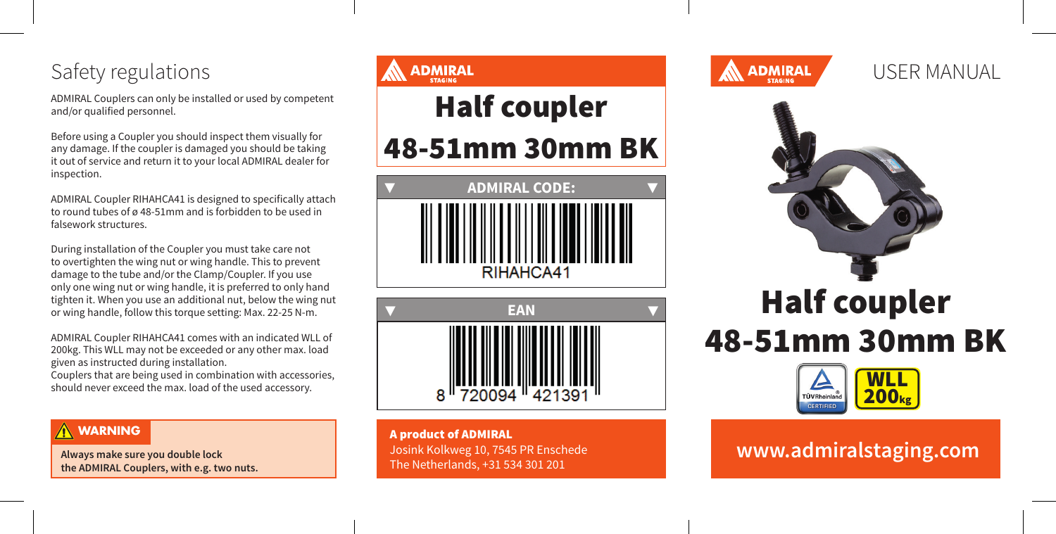## Safety regulations

ADMIRAL Couplers can only be installed or used by competent and/or qualified personnel.

Before using a Coupler you should inspect them visually for any damage. If the coupler is damaged you should be taking it out of service and return it to your local ADMIRAL dealer for inspection.

ADMIRAL Coupler RIHAHCA41 is designed to specifically attach to round tubes of ø 48-51mm and is forbidden to be used in falsework structures.

During installation of the Coupler you must take care not to overtighten the wing nut or wing handle. This to prevent damage to the tube and/or the Clamp/Coupler. If you use only one wing nut or wing handle, it is preferred to only hand tighten it. When you use an additional nut, below the wing nut or wing handle, follow this torque setting: Max. 22-25 N-m.

ADMIRAL Coupler RIHAHCA41 comes with an indicated WLL of 200kg. This WLL may not be exceeded or any other max. load given as instructed during installation.

Couplers that are being used in combination with accessories, should never exceed the max. load of the used accessory.

#### **WARNING**

**Always make sure you double lock the ADMIRAL Couplers, with e.g. two nuts.**

# **ADMIRAL** Half coupler 48-51mm 30mm BK **ADMIRAL CODE: ▼ ▼** RIHAHCA41 **▼ EAN ▼**

A product of ADMIRAL Josink Kolkweg 10, 7545 PR Enschede The Netherlands, +31 534 301 201



USER MANUAL



# Half coupler 48-51mm 30mm BK



## **www.admiralstaging.com**